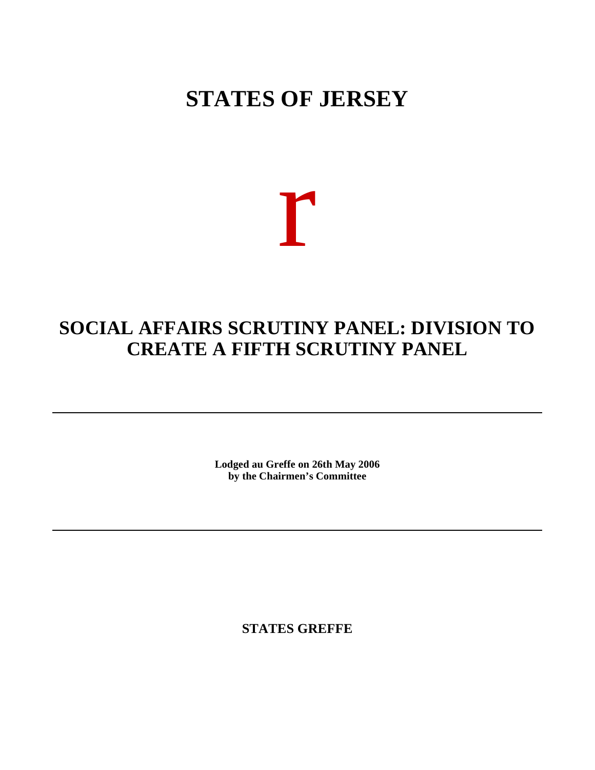# **STATES OF JERSEY**

r

## **SOCIAL AFFAIRS SCRUTINY PANEL: DIVISION TO CREATE A FIFTH SCRUTINY PANEL**

**Lodged au Greffe on 26th May 2006 by the Chairmen's Committee**

**STATES GREFFE**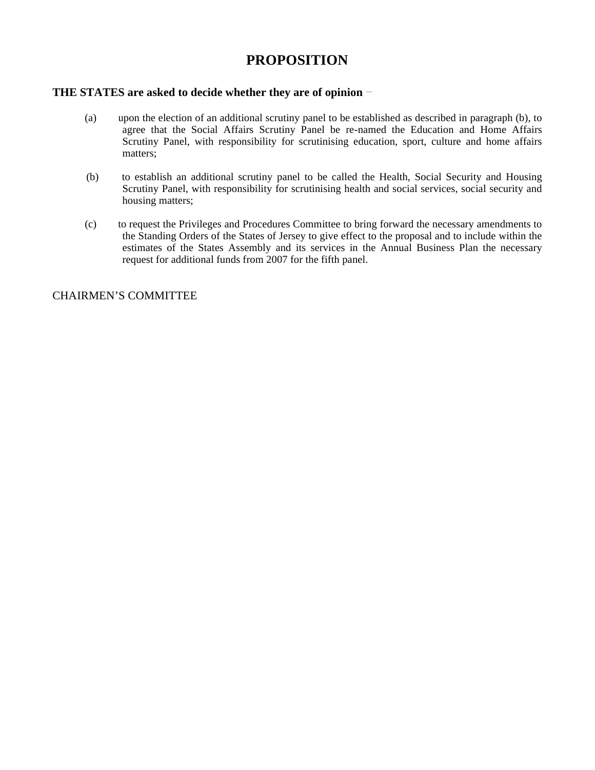### **PROPOSITION**

#### **THE STATES are asked to decide whether they are of opinion**

- (a) upon the election of an additional scrutiny panel to be established as described in paragraph (b), to agree that the Social Affairs Scrutiny Panel be re-named the Education and Home Affairs Scrutiny Panel, with responsibility for scrutinising education, sport, culture and home affairs matters;
- (b) to establish an additional scrutiny panel to be called the Health, Social Security and Housing Scrutiny Panel, with responsibility for scrutinising health and social services, social security and housing matters;
- (c) to request the Privileges and Procedures Committee to bring forward the necessary amendments to the Standing Orders of the States of Jersey to give effect to the proposal and to include within the estimates of the States Assembly and its services in the Annual Business Plan the necessary request for additional funds from 2007 for the fifth panel.

#### CHAIRMEN'S COMMITTEE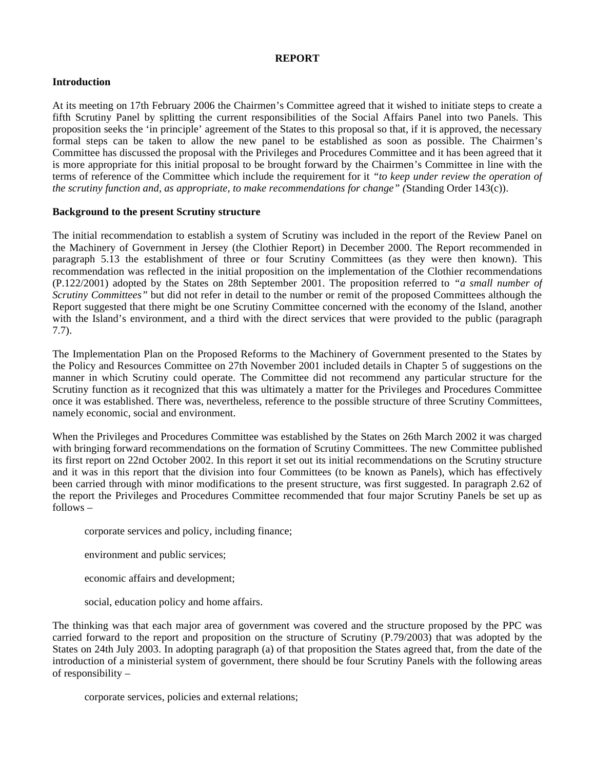#### **REPORT**

#### **Introduction**

At its meeting on 17th February 2006 the Chairmen's Committee agreed that it wished to initiate steps to create a fifth Scrutiny Panel by splitting the current responsibilities of the Social Affairs Panel into two Panels. This proposition seeks the 'in principle' agreement of the States to this proposal so that, if it is approved, the necessary formal steps can be taken to allow the new panel to be established as soon as possible. The Chairmen's Committee has discussed the proposal with the Privileges and Procedures Committee and it has been agreed that it is more appropriate for this initial proposal to be brought forward by the Chairmen's Committee in line with the terms of reference of the Committee which include the requirement for it *"to keep under review the operation of the scrutiny function and, as appropriate, to make recommendations for change" (*Standing Order 143(c)).

#### **Background to the present Scrutiny structure**

The initial recommendation to establish a system of Scrutiny was included in the report of the Review Panel on the Machinery of Government in Jersey (the Clothier Report) in December 2000. The Report recommended in paragraph 5.13 the establishment of three or four Scrutiny Committees (as they were then known). This recommendation was reflected in the initial proposition on the implementation of the Clothier recommendations (P.122/2001) adopted by the States on 28th September 2001. The proposition referred to *"a small number of Scrutiny Committees*<sup>"</sup> but did not refer in detail to the number or remit of the proposed Committees although the Report suggested that there might be one Scrutiny Committee concerned with the economy of the Island, another with the Island's environment, and a third with the direct services that were provided to the public (paragraph 7.7).

The Implementation Plan on the Proposed Reforms to the Machinery of Government presented to the States by the Policy and Resources Committee on 27th November 2001 included details in Chapter 5 of suggestions on the manner in which Scrutiny could operate. The Committee did not recommend any particular structure for the Scrutiny function as it recognized that this was ultimately a matter for the Privileges and Procedures Committee once it was established. There was, nevertheless, reference to the possible structure of three Scrutiny Committees, namely economic, social and environment.

When the Privileges and Procedures Committee was established by the States on 26th March 2002 it was charged with bringing forward recommendations on the formation of Scrutiny Committees. The new Committee published its first report on 22nd October 2002. In this report it set out its initial recommendations on the Scrutiny structure and it was in this report that the division into four Committees (to be known as Panels), which has effectively been carried through with minor modifications to the present structure, was first suggested. In paragraph 2.62 of the report the Privileges and Procedures Committee recommended that four major Scrutiny Panels be set up as follows –

corporate services and policy, including finance;

environment and public services;

economic affairs and development;

social, education policy and home affairs.

The thinking was that each major area of government was covered and the structure proposed by the PPC was carried forward to the report and proposition on the structure of Scrutiny (P.79/2003) that was adopted by the States on 24th July 2003. In adopting paragraph (a) of that proposition the States agreed that, from the date of the introduction of a ministerial system of government, there should be four Scrutiny Panels with the following areas of responsibility –

corporate services, policies and external relations;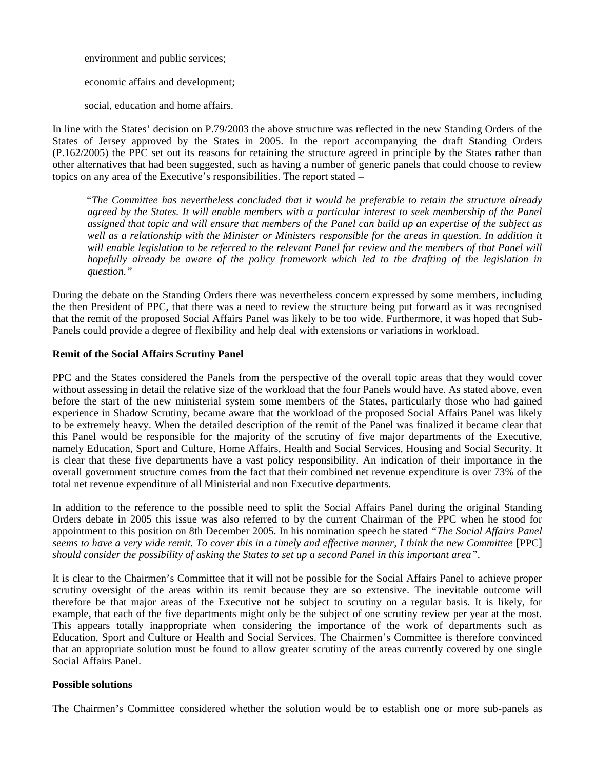environment and public services;

economic affairs and development;

social, education and home affairs.

In line with the States' decision on P.79/2003 the above structure was reflected in the new Standing Orders of the States of Jersey approved by the States in 2005. In the report accompanying the draft Standing Orders (P.162/2005) the PPC set out its reasons for retaining the structure agreed in principle by the States rather than other alternatives that had been suggested, such as having a number of generic panels that could choose to review topics on any area of the Executive's responsibilities. The report stated –

 *"The Committee has nevertheless concluded that it would be preferable to retain the structure already agreed by the States. It will enable members with a particular interest to seek membership of the Panel assigned that topic and will ensure that members of the Panel can build up an expertise of the subject as well as a relationship with the Minister or Ministers responsible for the areas in question. In addition it will enable legislation to be referred to the relevant Panel for review and the members of that Panel will hopefully already be aware of the policy framework which led to the drafting of the legislation in question."*

During the debate on the Standing Orders there was nevertheless concern expressed by some members, including the then President of PPC, that there was a need to review the structure being put forward as it was recognised that the remit of the proposed Social Affairs Panel was likely to be too wide. Furthermore, it was hoped that Sub-Panels could provide a degree of flexibility and help deal with extensions or variations in workload.

#### **Remit of the Social Affairs Scrutiny Panel**

PPC and the States considered the Panels from the perspective of the overall topic areas that they would cover without assessing in detail the relative size of the workload that the four Panels would have. As stated above, even before the start of the new ministerial system some members of the States, particularly those who had gained experience in Shadow Scrutiny, became aware that the workload of the proposed Social Affairs Panel was likely to be extremely heavy. When the detailed description of the remit of the Panel was finalized it became clear that this Panel would be responsible for the majority of the scrutiny of five major departments of the Executive, namely Education, Sport and Culture, Home Affairs, Health and Social Services, Housing and Social Security. It is clear that these five departments have a vast policy responsibility. An indication of their importance in the overall government structure comes from the fact that their combined net revenue expenditure is over 73% of the total net revenue expenditure of all Ministerial and non Executive departments.

In addition to the reference to the possible need to split the Social Affairs Panel during the original Standing Orders debate in 2005 this issue was also referred to by the current Chairman of the PPC when he stood for appointment to this position on 8th December 2005. In his nomination speech he stated *"The Social Affairs Panel seems to have a very wide remit. To cover this in a timely and effective manner, I think the new Committee* [PPC] *should consider the possibility of asking the States to set up a second Panel in this important area"*.

It is clear to the Chairmen's Committee that it will not be possible for the Social Affairs Panel to achieve proper scrutiny oversight of the areas within its remit because they are so extensive. The inevitable outcome will therefore be that major areas of the Executive not be subject to scrutiny on a regular basis. It is likely, for example, that each of the five departments might only be the subject of one scrutiny review per year at the most. This appears totally inappropriate when considering the importance of the work of departments such as Education, Sport and Culture or Health and Social Services. The Chairmen's Committee is therefore convinced that an appropriate solution must be found to allow greater scrutiny of the areas currently covered by one single Social Affairs Panel.

#### **Possible solutions**

The Chairmen's Committee considered whether the solution would be to establish one or more sub-panels as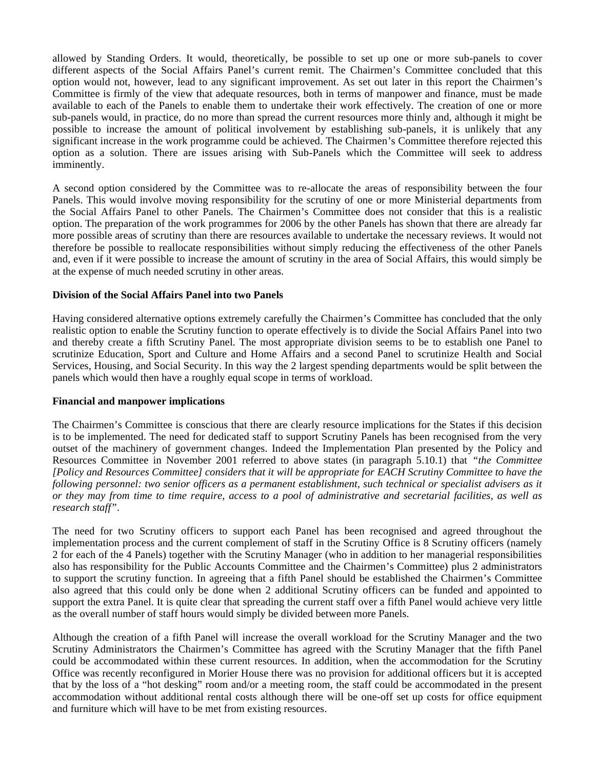allowed by Standing Orders. It would, theoretically, be possible to set up one or more sub-panels to cover different aspects of the Social Affairs Panel's current remit. The Chairmen's Committee concluded that this option would not, however, lead to any significant improvement. As set out later in this report the Chairmen's Committee is firmly of the view that adequate resources, both in terms of manpower and finance, must be made available to each of the Panels to enable them to undertake their work effectively. The creation of one or more sub-panels would, in practice, do no more than spread the current resources more thinly and, although it might be possible to increase the amount of political involvement by establishing sub-panels, it is unlikely that any significant increase in the work programme could be achieved. The Chairmen's Committee therefore rejected this option as a solution. There are issues arising with Sub-Panels which the Committee will seek to address imminently.

A second option considered by the Committee was to re-allocate the areas of responsibility between the four Panels. This would involve moving responsibility for the scrutiny of one or more Ministerial departments from the Social Affairs Panel to other Panels. The Chairmen's Committee does not consider that this is a realistic option. The preparation of the work programmes for 2006 by the other Panels has shown that there are already far more possible areas of scrutiny than there are resources available to undertake the necessary reviews. It would not therefore be possible to reallocate responsibilities without simply reducing the effectiveness of the other Panels and, even if it were possible to increase the amount of scrutiny in the area of Social Affairs, this would simply be at the expense of much needed scrutiny in other areas.

#### **Division of the Social Affairs Panel into two Panels**

Having considered alternative options extremely carefully the Chairmen's Committee has concluded that the only realistic option to enable the Scrutiny function to operate effectively is to divide the Social Affairs Panel into two and thereby create a fifth Scrutiny Panel. The most appropriate division seems to be to establish one Panel to scrutinize Education, Sport and Culture and Home Affairs and a second Panel to scrutinize Health and Social Services, Housing, and Social Security. In this way the 2 largest spending departments would be split between the panels which would then have a roughly equal scope in terms of workload.

#### **Financial and manpower implications**

The Chairmen's Committee is conscious that there are clearly resource implications for the States if this decision is to be implemented. The need for dedicated staff to support Scrutiny Panels has been recognised from the very outset of the machinery of government changes. Indeed the Implementation Plan presented by the Policy and Resources Committee in November 2001 referred to above states (in paragraph 5.10.1) that *"the Committee [Policy and Resources Committee] considers that it will be appropriate for EACH Scrutiny Committee to have the following personnel: two senior officers as a permanent establishment, such technical or specialist advisers as it or they may from time to time require, access to a pool of administrative and secretarial facilities, as well as research staff"*.

The need for two Scrutiny officers to support each Panel has been recognised and agreed throughout the implementation process and the current complement of staff in the Scrutiny Office is 8 Scrutiny officers (namely 2 for each of the 4 Panels) together with the Scrutiny Manager (who in addition to her managerial responsibilities also has responsibility for the Public Accounts Committee and the Chairmen's Committee) plus 2 administrators to support the scrutiny function. In agreeing that a fifth Panel should be established the Chairmen's Committee also agreed that this could only be done when 2 additional Scrutiny officers can be funded and appointed to support the extra Panel. It is quite clear that spreading the current staff over a fifth Panel would achieve very little as the overall number of staff hours would simply be divided between more Panels.

Although the creation of a fifth Panel will increase the overall workload for the Scrutiny Manager and the two Scrutiny Administrators the Chairmen's Committee has agreed with the Scrutiny Manager that the fifth Panel could be accommodated within these current resources. In addition, when the accommodation for the Scrutiny Office was recently reconfigured in Morier House there was no provision for additional officers but it is accepted that by the loss of a "hot desking" room and/or a meeting room, the staff could be accommodated in the present accommodation without additional rental costs although there will be one-off set up costs for office equipment and furniture which will have to be met from existing resources.